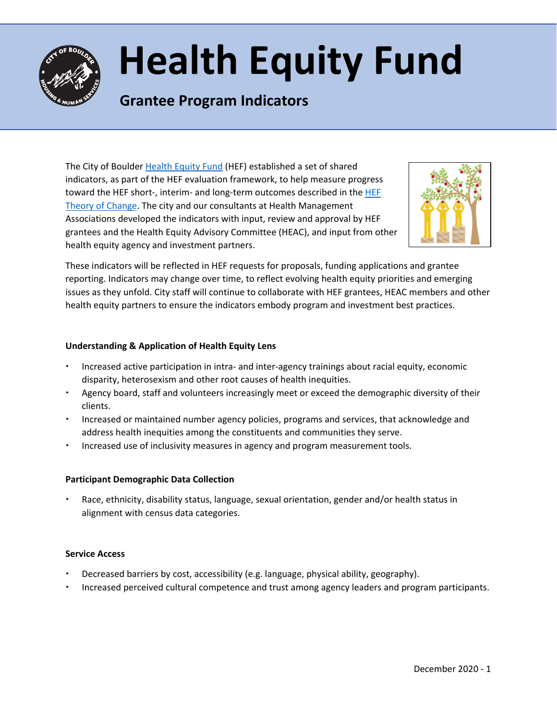

# **Health Equity Fund**

# **Grantee Program Indicators**

The City of Boulder [Health Equity Fund](https://bouldercolorado.gov/human-services/health-equity-fund) (HEF) established a set of shared indicators, as part of the HEF evaluation framework, to help measure progress toward the HEF short-, interim- and long-term outcomes described in th[e HEF](https://www-static.bouldercolorado.gov/docs/HEF_Theory_of_Change_Final-1-201904170850.pdf?_ga=2.220878491.2015080950.1609709452-888156451.1594915982)  [Theory of Change.](https://www-static.bouldercolorado.gov/docs/HEF_Theory_of_Change_Final-1-201904170850.pdf?_ga=2.220878491.2015080950.1609709452-888156451.1594915982) The city and our consultants at Health Management Associations developed the indicators with input, review and approval by HEF grantees and the Health Equity Advisory Committee (HEAC), and input from other health equity agency and investment partners.



These indicators will be reflected in HEF requests for proposals, funding applications and grantee reporting. Indicators may change over time, to reflect evolving health equity priorities and emerging issues as they unfold. City staff will continue to collaborate with HEF grantees, HEAC members and other health equity partners to ensure the indicators embody program and investment best practices.

# **Understanding & Application of Health Equity Lens**

- Increased active participation in intra- and inter-agency trainings about racial equity, economic disparity, heterosexism and other root causes of health inequities.
- Agency board, staff and volunteers increasingly meet or exceed the demographic diversity of their clients.
- Increased or maintained number agency policies, programs and services, that acknowledge and address health inequities among the constituents and communities they serve.
- Increased use of inclusivity measures in agency and program measurement tools.

## **Participant Demographic Data Collection**

 Race, ethnicity, disability status, language, sexual orientation, gender and/or health status in alignment with census data categories.

## **Service Access**

- Decreased barriers by cost, accessibility (e.g. language, physical ability, geography).
- Increased perceived cultural competence and trust among agency leaders and program participants.